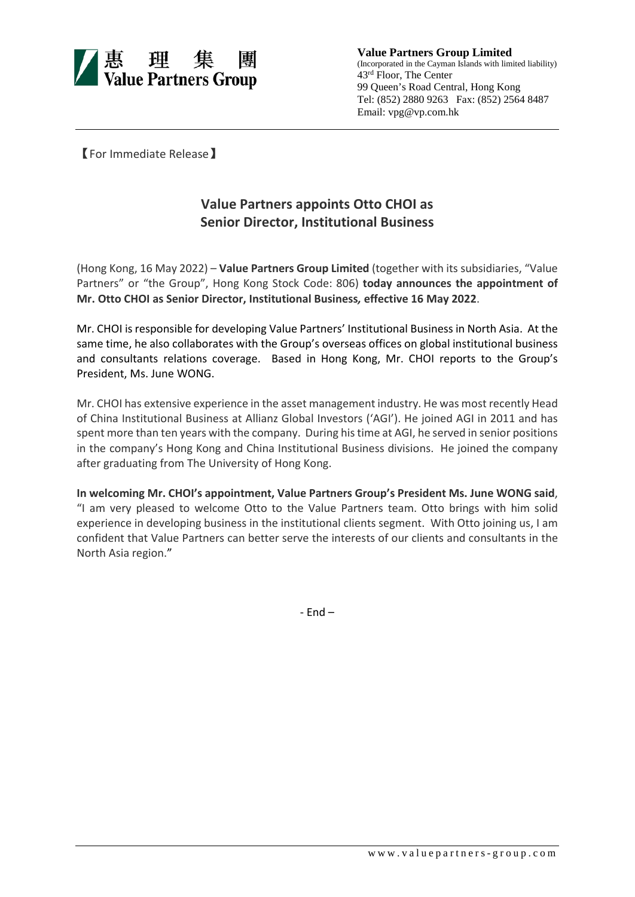

**Value Partners Group Limited** (Incorporated in the Cayman Islands with limited liability) 43rd Floor, The Center 99 Queen's Road Central, Hong Kong Tel: (852) 2880 9263 Fax: (852) 2564 8487 Email: vpg@vp.com.hk

【For Immediate Release】

## **Value Partners appoints Otto CHOI as Senior Director, Institutional Business**

(Hong Kong, 16 May 2022) – **Value Partners Group Limited** (together with its subsidiaries, "Value Partners" or "the Group", Hong Kong Stock Code: 806) **today announces the appointment of Mr. Otto CHOI as Senior Director, Institutional Business***,* **effective 16 May 2022**.

Mr. CHOI is responsible for developing Value Partners' Institutional Business in North Asia. At the same time, he also collaborates with the Group's overseas offices on global institutional business and consultants relations coverage. Based in Hong Kong, Mr. CHOI reports to the Group's President, Ms. June WONG.

Mr. CHOI has extensive experience in the asset management industry. He was most recently Head of China Institutional Business at Allianz Global Investors ('AGI'). He joined AGI in 2011 and has spent more than ten years with the company. During his time at AGI, he served in senior positions in the company's Hong Kong and China Institutional Business divisions. He joined the company after graduating from The University of Hong Kong.

**In welcoming Mr. CHOI's appointment, Value Partners Group's President Ms. June WONG said**, "I am very pleased to welcome Otto to the Value Partners team. Otto brings with him solid experience in developing business in the institutional clients segment. With Otto joining us, I am confident that Value Partners can better serve the interests of our clients and consultants in the North Asia region."

- End –